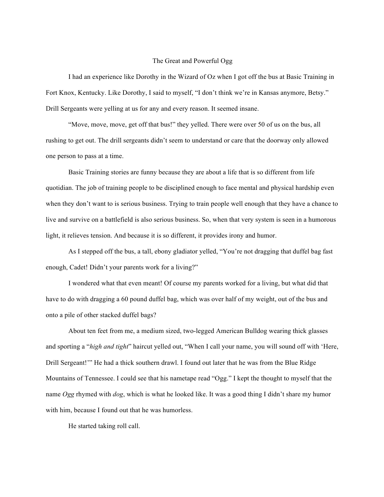## The Great and Powerful Ogg

I had an experience like Dorothy in the Wizard of Oz when I got off the bus at Basic Training in Fort Knox, Kentucky. Like Dorothy, I said to myself, "I don't think we're in Kansas anymore, Betsy." Drill Sergeants were yelling at us for any and every reason. It seemed insane.

"Move, move, move, get off that bus!" they yelled. There were over 50 of us on the bus, all rushing to get out. The drill sergeants didn't seem to understand or care that the doorway only allowed one person to pass at a time.

Basic Training stories are funny because they are about a life that is so different from life quotidian. The job of training people to be disciplined enough to face mental and physical hardship even when they don't want to is serious business. Trying to train people well enough that they have a chance to live and survive on a battlefield is also serious business. So, when that very system is seen in a humorous light, it relieves tension. And because it is so different, it provides irony and humor.

As I stepped off the bus, a tall, ebony gladiator yelled, "You're not dragging that duffel bag fast enough, Cadet! Didn't your parents work for a living?"

I wondered what that even meant! Of course my parents worked for a living, but what did that have to do with dragging a 60 pound duffel bag, which was over half of my weight, out of the bus and onto a pile of other stacked duffel bags?

About ten feet from me, a medium sized, two-legged American Bulldog wearing thick glasses and sporting a "*high and tight*" haircut yelled out, "When I call your name, you will sound off with 'Here, Drill Sergeant!'" He had a thick southern drawl. I found out later that he was from the Blue Ridge Mountains of Tennessee. I could see that his nametape read "Ogg." I kept the thought to myself that the name *Ogg* rhymed with *dog*, which is what he looked like. It was a good thing I didn't share my humor with him, because I found out that he was humorless.

He started taking roll call.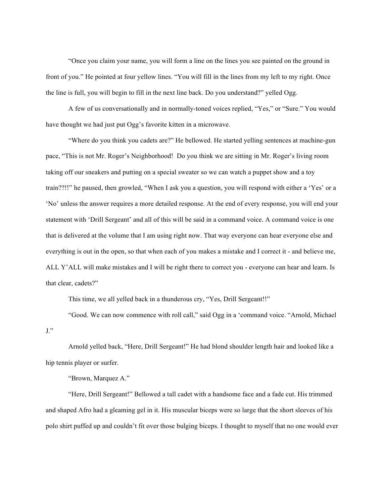"Once you claim your name, you will form a line on the lines you see painted on the ground in front of you." He pointed at four yellow lines. "You will fill in the lines from my left to my right. Once the line is full, you will begin to fill in the next line back. Do you understand?" yelled Ogg.

A few of us conversationally and in normally-toned voices replied, "Yes," or "Sure." You would have thought we had just put Ogg's favorite kitten in a microwave.

"Where do you think you cadets are?" He bellowed. He started yelling sentences at machine-gun pace, "This is not Mr. Roger's Neighborhood! Do you think we are sitting in Mr. Roger's living room taking off our sneakers and putting on a special sweater so we can watch a puppet show and a toy train??!!" he paused, then growled, "When I ask you a question, you will respond with either a 'Yes' or a 'No' unless the answer requires a more detailed response. At the end of every response, you will end your statement with 'Drill Sergeant' and all of this will be said in a command voice. A command voice is one that is delivered at the volume that I am using right now. That way everyone can hear everyone else and everything is out in the open, so that when each of you makes a mistake and I correct it - and believe me, ALL Y'ALL will make mistakes and I will be right there to correct you - everyone can hear and learn. Is that clear, cadets?"

This time, we all yelled back in a thunderous cry, "Yes, Drill Sergeant!!"

"Good. We can now commence with roll call," said Ogg in a 'command voice. "Arnold, Michael  $J$ ."

Arnold yelled back, "Here, Drill Sergeant!" He had blond shoulder length hair and looked like a hip tennis player or surfer.

"Brown, Marquez A."

"Here, Drill Sergeant!" Bellowed a tall cadet with a handsome face and a fade cut. His trimmed and shaped Afro had a gleaming gel in it. His muscular biceps were so large that the short sleeves of his polo shirt puffed up and couldn't fit over those bulging biceps. I thought to myself that no one would ever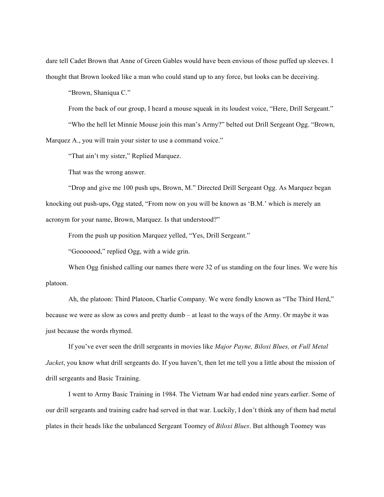dare tell Cadet Brown that Anne of Green Gables would have been envious of those puffed up sleeves. I thought that Brown looked like a man who could stand up to any force, but looks can be deceiving.

"Brown, Shaniqua C."

From the back of our group, I heard a mouse squeak in its loudest voice, "Here, Drill Sergeant." "Who the hell let Minnie Mouse join this man's Army?" belted out Drill Sergeant Ogg. "Brown, Marquez A., you will train your sister to use a command voice."

"That ain't my sister," Replied Marquez.

That was the wrong answer.

"Drop and give me 100 push ups, Brown, M." Directed Drill Sergeant Ogg. As Marquez began knocking out push-ups, Ogg stated, "From now on you will be known as 'B.M.' which is merely an acronym for your name, Brown, Marquez. Is that understood?"

From the push up position Marquez yelled, "Yes, Drill Sergeant."

"Gooooood," replied Ogg, with a wide grin.

When Ogg finished calling our names there were 32 of us standing on the four lines. We were his platoon.

Ah, the platoon: Third Platoon, Charlie Company. We were fondly known as "The Third Herd," because we were as slow as cows and pretty dumb – at least to the ways of the Army. Or maybe it was just because the words rhymed.

If you've ever seen the drill sergeants in movies like *Major Payne, Biloxi Blues,* or *Full Metal Jacket*, you know what drill sergeants do. If you haven't, then let me tell you a little about the mission of drill sergeants and Basic Training.

I went to Army Basic Training in 1984. The Vietnam War had ended nine years earlier. Some of our drill sergeants and training cadre had served in that war. Luckily, I don't think any of them had metal plates in their heads like the unbalanced Sergeant Toomey of *Biloxi Blues*. But although Toomey was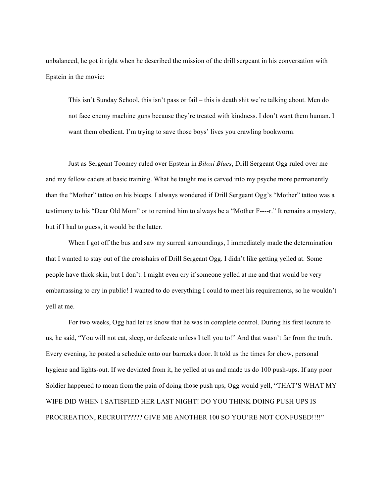unbalanced, he got it right when he described the mission of the drill sergeant in his conversation with Epstein in the movie:

This isn't Sunday School, this isn't pass or fail – this is death shit we're talking about. Men do not face enemy machine guns because they're treated with kindness. I don't want them human. I want them obedient. I'm trying to save those boys' lives you crawling bookworm.

Just as Sergeant Toomey ruled over Epstein in *Biloxi Blues*, Drill Sergeant Ogg ruled over me and my fellow cadets at basic training. What he taught me is carved into my psyche more permanently than the "Mother" tattoo on his biceps. I always wondered if Drill Sergeant Ogg's "Mother" tattoo was a testimony to his "Dear Old Mom" or to remind him to always be a "Mother F----r." It remains a mystery, but if I had to guess, it would be the latter.

When I got off the bus and saw my surreal surroundings, I immediately made the determination that I wanted to stay out of the crosshairs of Drill Sergeant Ogg. I didn't like getting yelled at. Some people have thick skin, but I don't. I might even cry if someone yelled at me and that would be very embarrassing to cry in public! I wanted to do everything I could to meet his requirements, so he wouldn't yell at me.

For two weeks, Ogg had let us know that he was in complete control. During his first lecture to us, he said, "You will not eat, sleep, or defecate unless I tell you to!" And that wasn't far from the truth. Every evening, he posted a schedule onto our barracks door. It told us the times for chow, personal hygiene and lights-out. If we deviated from it, he yelled at us and made us do 100 push-ups. If any poor Soldier happened to moan from the pain of doing those push ups, Ogg would yell, "THAT'S WHAT MY WIFE DID WHEN I SATISFIED HER LAST NIGHT! DO YOU THINK DOING PUSH UPS IS PROCREATION, RECRUIT????? GIVE ME ANOTHER 100 SO YOU'RE NOT CONFUSED!!!!"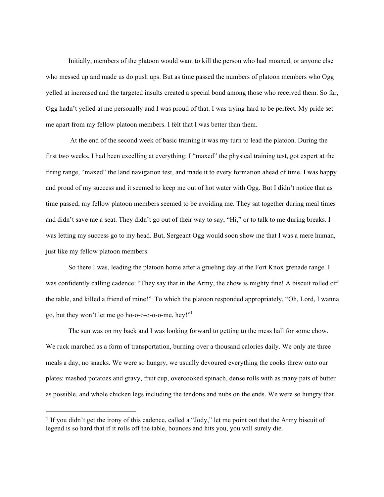Initially, members of the platoon would want to kill the person who had moaned, or anyone else who messed up and made us do push ups. But as time passed the numbers of platoon members who Ogg yelled at increased and the targeted insults created a special bond among those who received them. So far, Ogg hadn't yelled at me personally and I was proud of that. I was trying hard to be perfect. My pride set me apart from my fellow platoon members. I felt that I was better than them.

At the end of the second week of basic training it was my turn to lead the platoon. During the first two weeks, I had been excelling at everything: I "maxed" the physical training test, got expert at the firing range, "maxed" the land navigation test, and made it to every formation ahead of time. I was happy and proud of my success and it seemed to keep me out of hot water with Ogg. But I didn't notice that as time passed, my fellow platoon members seemed to be avoiding me. They sat together during meal times and didn't save me a seat. They didn't go out of their way to say, "Hi," or to talk to me during breaks. I was letting my success go to my head. But, Sergeant Ogg would soon show me that I was a mere human, just like my fellow platoon members.

So there I was, leading the platoon home after a grueling day at the Fort Knox grenade range. I was confidently calling cadence: "They say that in the Army, the chow is mighty fine! A biscuit rolled off the table, and killed a friend of mine!"1 To which the platoon responded appropriately, "Oh, Lord, I wanna go, but they won't let me go ho-o-o-o-o-o-me, hey!"<sup>1</sup>

The sun was on my back and I was looking forward to getting to the mess hall for some chow. We ruck marched as a form of transportation, burning over a thousand calories daily. We only ate three meals a day, no snacks. We were so hungry, we usually devoured everything the cooks threw onto our plates: mashed potatoes and gravy, fruit cup, overcooked spinach, dense rolls with as many pats of butter as possible, and whole chicken legs including the tendons and nubs on the ends. We were so hungry that

 

<sup>&</sup>lt;sup>1</sup> If you didn't get the irony of this cadence, called a "Jody," let me point out that the Army biscuit of legend is so hard that if it rolls off the table, bounces and hits you, you will surely die.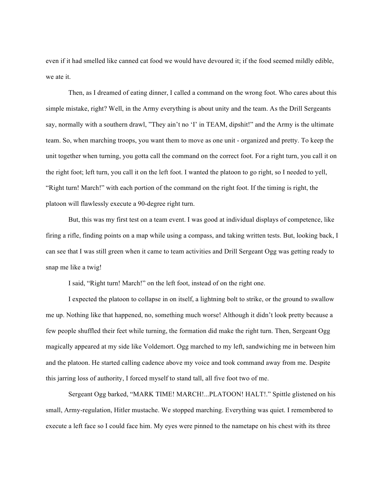even if it had smelled like canned cat food we would have devoured it; if the food seemed mildly edible, we ate it.

Then, as I dreamed of eating dinner, I called a command on the wrong foot. Who cares about this simple mistake, right? Well, in the Army everything is about unity and the team. As the Drill Sergeants say, normally with a southern drawl, "They ain't no 'I' in TEAM, dipshit!" and the Army is the ultimate team. So, when marching troops, you want them to move as one unit - organized and pretty. To keep the unit together when turning, you gotta call the command on the correct foot. For a right turn, you call it on the right foot; left turn, you call it on the left foot. I wanted the platoon to go right, so I needed to yell, "Right turn! March!" with each portion of the command on the right foot. If the timing is right, the platoon will flawlessly execute a 90-degree right turn.

But, this was my first test on a team event. I was good at individual displays of competence, like firing a rifle, finding points on a map while using a compass, and taking written tests. But, looking back, I can see that I was still green when it came to team activities and Drill Sergeant Ogg was getting ready to snap me like a twig!

I said, "Right turn! March!" on the left foot, instead of on the right one.

I expected the platoon to collapse in on itself, a lightning bolt to strike, or the ground to swallow me up. Nothing like that happened, no, something much worse! Although it didn't look pretty because a few people shuffled their feet while turning, the formation did make the right turn. Then, Sergeant Ogg magically appeared at my side like Voldemort. Ogg marched to my left, sandwiching me in between him and the platoon. He started calling cadence above my voice and took command away from me. Despite this jarring loss of authority, I forced myself to stand tall, all five foot two of me.

Sergeant Ogg barked, "MARK TIME! MARCH!...PLATOON! HALT!." Spittle glistened on his small, Army-regulation, Hitler mustache. We stopped marching. Everything was quiet. I remembered to execute a left face so I could face him. My eyes were pinned to the nametape on his chest with its three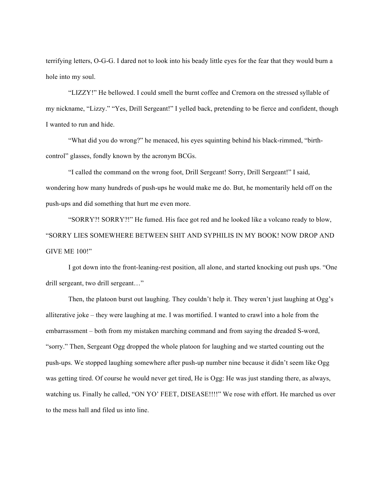terrifying letters, O-G-G. I dared not to look into his beady little eyes for the fear that they would burn a hole into my soul.

"LIZZY!" He bellowed. I could smell the burnt coffee and Cremora on the stressed syllable of my nickname, "Lizzy." "Yes, Drill Sergeant!" I yelled back, pretending to be fierce and confident, though I wanted to run and hide.

"What did you do wrong?" he menaced, his eyes squinting behind his black-rimmed, "birthcontrol" glasses, fondly known by the acronym BCGs.

"I called the command on the wrong foot, Drill Sergeant! Sorry, Drill Sergeant!" I said, wondering how many hundreds of push-ups he would make me do. But, he momentarily held off on the push-ups and did something that hurt me even more.

"SORRY?! SORRY?!" He fumed. His face got red and he looked like a volcano ready to blow, "SORRY LIES SOMEWHERE BETWEEN SHIT AND SYPHILIS IN MY BOOK! NOW DROP AND GIVE ME 100!"

I got down into the front-leaning-rest position, all alone, and started knocking out push ups. "One drill sergeant, two drill sergeant…"

Then, the platoon burst out laughing. They couldn't help it. They weren't just laughing at Ogg's alliterative joke – they were laughing at me. I was mortified. I wanted to crawl into a hole from the embarrassment – both from my mistaken marching command and from saying the dreaded S-word, "sorry." Then, Sergeant Ogg dropped the whole platoon for laughing and we started counting out the push-ups. We stopped laughing somewhere after push-up number nine because it didn't seem like Ogg was getting tired. Of course he would never get tired, He is Ogg: He was just standing there, as always, watching us. Finally he called, "ON YO' FEET, DISEASE!!!!" We rose with effort. He marched us over to the mess hall and filed us into line.